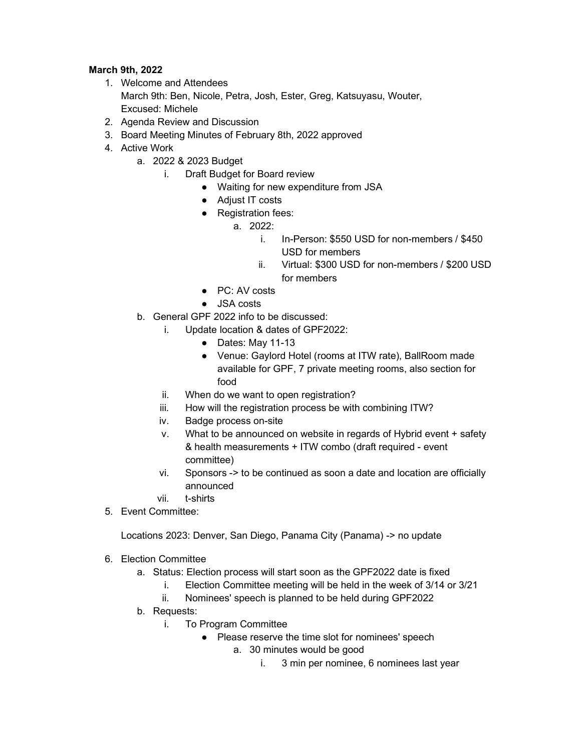## March 9th, 2022

- 1. Welcome and Attendees March 9th: Ben, Nicole, Petra, Josh, Ester, Greg, Katsuyasu, Wouter, Excused: Michele
- 2. Agenda Review and Discussion
- 3. Board Meeting Minutes of February 8th, 2022 approved
- 4. Active Work
	- a. 2022 & 2023 Budget
		- i. Draft Budget for Board review
			- Waiting for new expenditure from JSA
			- Adjust IT costs
			- Registration fees:
				- a. 2022:
					- i. In-Person: \$550 USD for non-members / \$450 USD for members
					- ii. Virtual: \$300 USD for non-members / \$200 USD for members
			- PC: AV costs
			- JSA costs
	- b. General GPF 2022 info to be discussed:
		- i. Update location & dates of GPF2022:
			- Dates: May 11-13
			- Venue: Gaylord Hotel (rooms at ITW rate), BallRoom made available for GPF, 7 private meeting rooms, also section for food
		- ii. When do we want to open registration?
		- iii. How will the registration process be with combining ITW?
		- iv. Badge process on-site
		- v. What to be announced on website in regards of Hybrid event + safety & health measurements + ITW combo (draft required - event committee)
		- vi. Sponsors -> to be continued as soon a date and location are officially announced
		- vii. t-shirts
- 5. Event Committee:

Locations 2023: Denver, San Diego, Panama City (Panama) -> no update

- 6. Election Committee
	- a. Status: Election process will start soon as the GPF2022 date is fixed
		- i. Election Committee meeting will be held in the week of 3/14 or 3/21
		- ii. Nominees' speech is planned to be held during GPF2022
	- b. Requests:
		- i. To Program Committee
			- Please reserve the time slot for nominees' speech
				- a. 30 minutes would be good
					- i. 3 min per nominee, 6 nominees last year